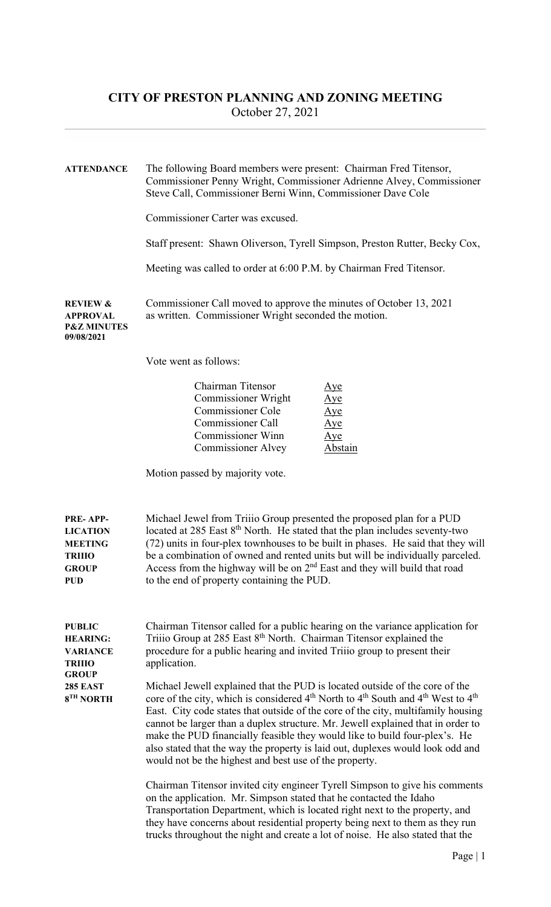| <b>ATTENDANCE</b>                                                                            | The following Board members were present: Chairman Fred Titensor,<br>Commissioner Penny Wright, Commissioner Adrienne Alvey, Commissioner<br>Steve Call, Commissioner Berni Winn, Commissioner Dave Cole<br>Commissioner Carter was excused.<br>Staff present: Shawn Oliverson, Tyrell Simpson, Preston Rutter, Becky Cox,                                                                                                                                                                                                                                                                                       |  |  |  |  |
|----------------------------------------------------------------------------------------------|------------------------------------------------------------------------------------------------------------------------------------------------------------------------------------------------------------------------------------------------------------------------------------------------------------------------------------------------------------------------------------------------------------------------------------------------------------------------------------------------------------------------------------------------------------------------------------------------------------------|--|--|--|--|
|                                                                                              | Meeting was called to order at 6:00 P.M. by Chairman Fred Titensor.                                                                                                                                                                                                                                                                                                                                                                                                                                                                                                                                              |  |  |  |  |
| <b>REVIEW &amp;</b><br><b>APPROVAL</b><br><b>P&amp;Z MINUTES</b><br>09/08/2021               | Commissioner Call moved to approve the minutes of October 13, 2021<br>as written. Commissioner Wright seconded the motion.                                                                                                                                                                                                                                                                                                                                                                                                                                                                                       |  |  |  |  |
|                                                                                              | Vote went as follows:                                                                                                                                                                                                                                                                                                                                                                                                                                                                                                                                                                                            |  |  |  |  |
|                                                                                              | Chairman Titensor<br><u>Aye</u><br><b>Commissioner Wright</b><br>$\mathop{\underline{\rm Age}}$<br><b>Commissioner Cole</b><br><u>Aye</u><br><b>Commissioner Call</b><br><u>Aye</u><br><b>Commissioner Winn</b><br>$\overline{A}$ ye<br><b>Commissioner Alvey</b><br><b>Abstain</b>                                                                                                                                                                                                                                                                                                                              |  |  |  |  |
|                                                                                              | Motion passed by majority vote.                                                                                                                                                                                                                                                                                                                                                                                                                                                                                                                                                                                  |  |  |  |  |
| PRE-APP-<br><b>LICATION</b><br><b>MEETING</b><br><b>TRIIIO</b><br><b>GROUP</b><br><b>PUD</b> | Michael Jewel from Triiio Group presented the proposed plan for a PUD<br>located at 285 East 8 <sup>th</sup> North. He stated that the plan includes seventy-two<br>(72) units in four-plex townhouses to be built in phases. He said that they will<br>be a combination of owned and rented units but will be individually parceled.<br>Access from the highway will be on $2nd$ East and they will build that road<br>to the end of property containing the PUD.                                                                                                                                               |  |  |  |  |
| <b>PUBLIC</b><br><b>HEARING:</b><br><b>VARIANCE</b><br><b>TRIIIO</b><br><b>GROUP</b>         | Chairman Titensor called for a public hearing on the variance application for<br>Triiio Group at 285 East 8 <sup>th</sup> North. Chairman Titensor explained the<br>procedure for a public hearing and invited Triiio group to present their<br>application.                                                                                                                                                                                                                                                                                                                                                     |  |  |  |  |
| <b>285 EAST</b><br>8 <sup>TH</sup> NORTH                                                     | Michael Jewell explained that the PUD is located outside of the core of the<br>core of the city, which is considered 4 <sup>th</sup> North to 4 <sup>th</sup> South and 4 <sup>th</sup> West to 4 <sup>th</sup><br>East. City code states that outside of the core of the city, multifamily housing<br>cannot be larger than a duplex structure. Mr. Jewell explained that in order to<br>make the PUD financially feasible they would like to build four-plex's. He<br>also stated that the way the property is laid out, duplexes would look odd and<br>would not be the highest and best use of the property. |  |  |  |  |
|                                                                                              | Chairman Titensor invited city engineer Tyrell Simpson to give his comments<br>on the application. Mr. Simpson stated that he contacted the Idaho<br>Transportation Department, which is located right next to the property, and<br>they have concerns about residential property being next to them as they run<br>trucks throughout the night and create a lot of noise. He also stated that the                                                                                                                                                                                                               |  |  |  |  |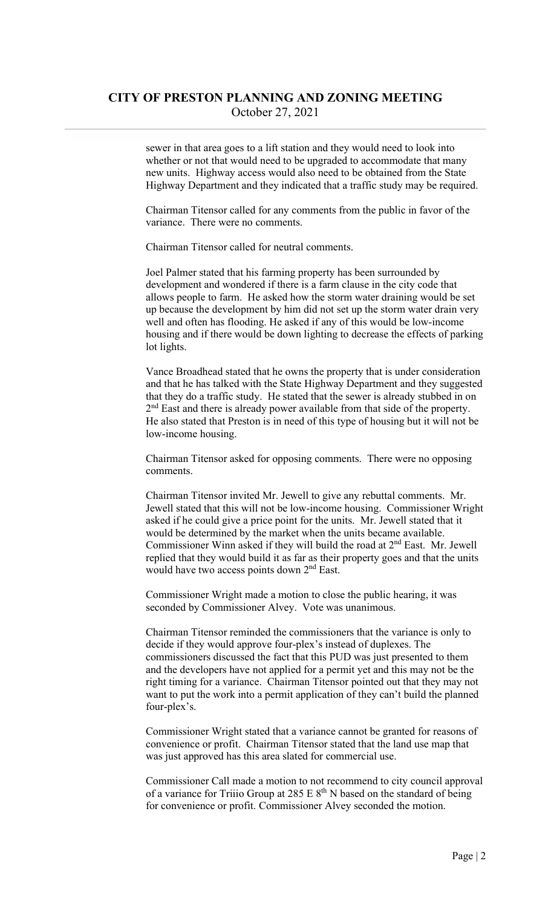sewer in that area goes to a lift station and they would need to look into whether or not that would need to be upgraded to accommodate that many new units. Highway access would also need to be obtained from the State Highway Department and they indicated that a traffic study may be required.

 Chairman Titensor called for any comments from the public in favor of the variance. There were no comments.

Chairman Titensor called for neutral comments.

 Joel Palmer stated that his farming property has been surrounded by development and wondered if there is a farm clause in the city code that allows people to farm. He asked how the storm water draining would be set up because the development by him did not set up the storm water drain very well and often has flooding. He asked if any of this would be low-income housing and if there would be down lighting to decrease the effects of parking lot lights.

 Vance Broadhead stated that he owns the property that is under consideration and that he has talked with the State Highway Department and they suggested that they do a traffic study. He stated that the sewer is already stubbed in on 2<sup>nd</sup> East and there is already power available from that side of the property. He also stated that Preston is in need of this type of housing but it will not be low-income housing.

 Chairman Titensor asked for opposing comments. There were no opposing comments.

 Chairman Titensor invited Mr. Jewell to give any rebuttal comments. Mr. Jewell stated that this will not be low-income housing. Commissioner Wright asked if he could give a price point for the units. Mr. Jewell stated that it would be determined by the market when the units became available. Commissioner Winn asked if they will build the road at  $2<sup>nd</sup>$  East. Mr. Jewell replied that they would build it as far as their property goes and that the units would have two access points down 2<sup>nd</sup> East.

 Commissioner Wright made a motion to close the public hearing, it was seconded by Commissioner Alvey. Vote was unanimous.

 Chairman Titensor reminded the commissioners that the variance is only to decide if they would approve four-plex's instead of duplexes. The commissioners discussed the fact that this PUD was just presented to them and the developers have not applied for a permit yet and this may not be the right timing for a variance. Chairman Titensor pointed out that they may not want to put the work into a permit application of they can't build the planned four-plex's.

 Commissioner Wright stated that a variance cannot be granted for reasons of convenience or profit. Chairman Titensor stated that the land use map that was just approved has this area slated for commercial use.

 Commissioner Call made a motion to not recommend to city council approval of a variance for Triiio Group at 285 E  $8<sup>th</sup>$  N based on the standard of being for convenience or profit. Commissioner Alvey seconded the motion.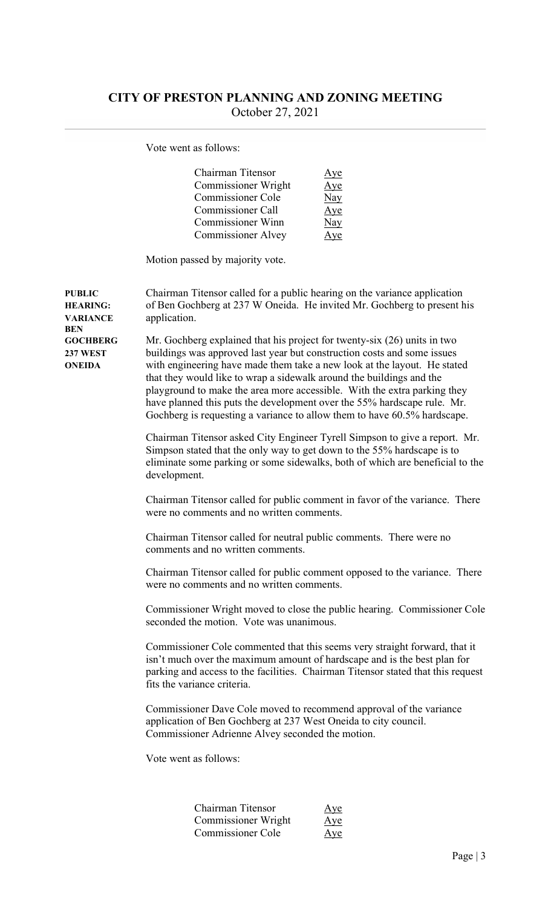Vote went as follows:

| Chairman Titensor         | <u>Aye</u>   |
|---------------------------|--------------|
| Commissioner Wright       | Aye          |
| Commissioner Cole         | Nay          |
| Commissioner Call         | Aye          |
| <b>Commissioner Winn</b>  | Nay          |
| <b>Commissioner Alvey</b> | $\mathbf{v}$ |

Motion passed by majority vote.

PUBLIC Chairman Titensor called for a public hearing on the variance application HEARING: of Ben Gochberg at 237 W Oneida. He invited Mr. Gochberg to present his VARIANCE application. **BEN** GOCHBERG Mr. Gochberg explained that his project for twenty-six (26) units in two 237 WEST buildings was approved last year but construction costs and some issues ONEIDA with engineering have made them take a new look at the layout. He stated that they would like to wrap a sidewalk around the buildings and the

> Chairman Titensor asked City Engineer Tyrell Simpson to give a report. Mr. Simpson stated that the only way to get down to the 55% hardscape is to eliminate some parking or some sidewalks, both of which are beneficial to the development.

playground to make the area more accessible. With the extra parking they have planned this puts the development over the 55% hardscape rule. Mr. Gochberg is requesting a variance to allow them to have 60.5% hardscape.

 Chairman Titensor called for public comment in favor of the variance. There were no comments and no written comments.

 Chairman Titensor called for neutral public comments. There were no comments and no written comments.

Chairman Titensor called for public comment opposed to the variance. There were no comments and no written comments.

 Commissioner Wright moved to close the public hearing. Commissioner Cole seconded the motion. Vote was unanimous.

 Commissioner Cole commented that this seems very straight forward, that it isn't much over the maximum amount of hardscape and is the best plan for parking and access to the facilities. Chairman Titensor stated that this request fits the variance criteria.

 Commissioner Dave Cole moved to recommend approval of the variance application of Ben Gochberg at 237 West Oneida to city council. Commissioner Adrienne Alvey seconded the motion.

Vote went as follows:

| Chairman Titensor   | Aye |
|---------------------|-----|
| Commissioner Wright | Aye |
| Commissioner Cole   | Aye |